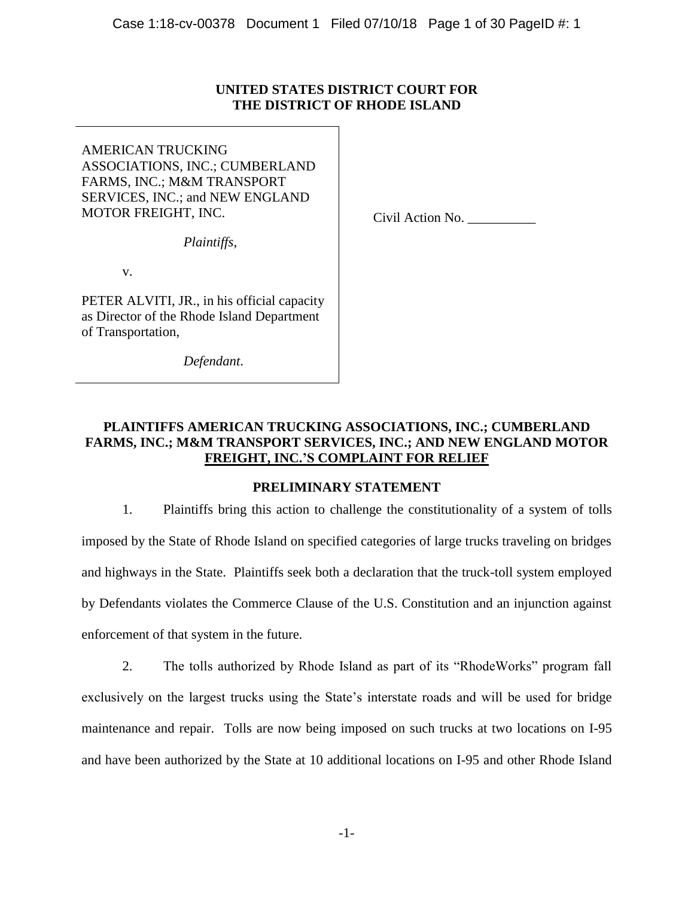# **UNITED STATES DISTRICT COURT FOR THE DISTRICT OF RHODE ISLAND**

AMERICAN TRUCKING ASSOCIATIONS, INC.; CUMBERLAND FARMS, INC.; M&M TRANSPORT SERVICES, INC.; and NEW ENGLAND MOTOR FREIGHT, INC.

*Plaintiffs*,

v.

PETER ALVITI, JR., in his official capacity as Director of the Rhode Island Department of Transportation,

*Defendant*.

Civil Action No. \_\_\_\_\_\_\_\_\_\_

# **PLAINTIFFS AMERICAN TRUCKING ASSOCIATIONS, INC.; CUMBERLAND FARMS, INC.; M&M TRANSPORT SERVICES, INC.; AND NEW ENGLAND MOTOR FREIGHT, INC.'S COMPLAINT FOR RELIEF**

# **PRELIMINARY STATEMENT**

1. Plaintiffs bring this action to challenge the constitutionality of a system of tolls imposed by the State of Rhode Island on specified categories of large trucks traveling on bridges and highways in the State. Plaintiffs seek both a declaration that the truck-toll system employed by Defendants violates the Commerce Clause of the U.S. Constitution and an injunction against enforcement of that system in the future.

2. The tolls authorized by Rhode Island as part of its "RhodeWorks" program fall exclusively on the largest trucks using the State's interstate roads and will be used for bridge maintenance and repair. Tolls are now being imposed on such trucks at two locations on I-95 and have been authorized by the State at 10 additional locations on I-95 and other Rhode Island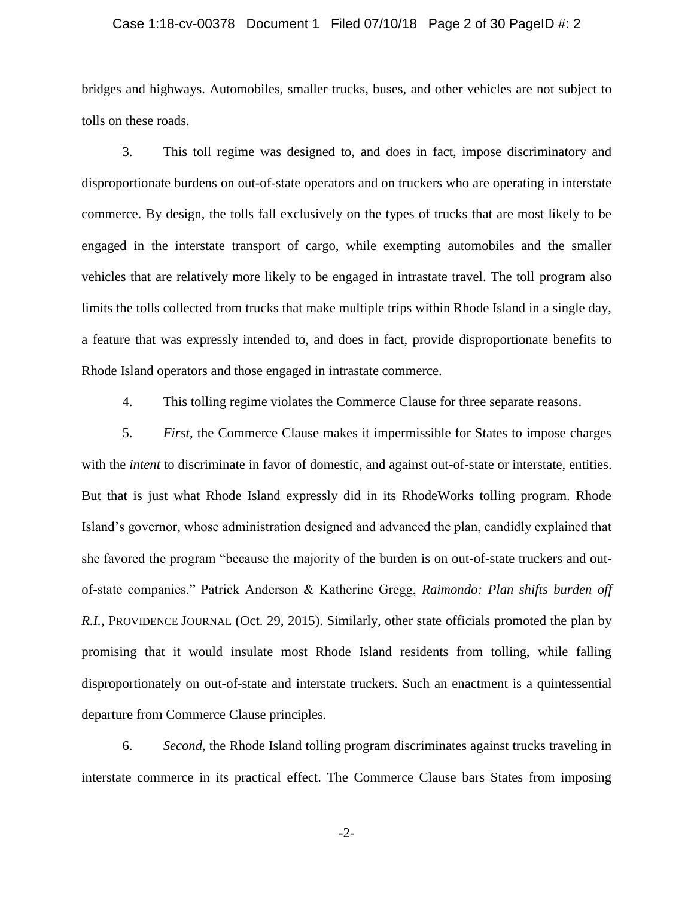## Case 1:18-cv-00378 Document 1 Filed 07/10/18 Page 2 of 30 PageID #: 2

bridges and highways. Automobiles, smaller trucks, buses, and other vehicles are not subject to tolls on these roads.

3. This toll regime was designed to, and does in fact, impose discriminatory and disproportionate burdens on out-of-state operators and on truckers who are operating in interstate commerce. By design, the tolls fall exclusively on the types of trucks that are most likely to be engaged in the interstate transport of cargo, while exempting automobiles and the smaller vehicles that are relatively more likely to be engaged in intrastate travel. The toll program also limits the tolls collected from trucks that make multiple trips within Rhode Island in a single day, a feature that was expressly intended to, and does in fact, provide disproportionate benefits to Rhode Island operators and those engaged in intrastate commerce.

4. This tolling regime violates the Commerce Clause for three separate reasons.

5. *First*, the Commerce Clause makes it impermissible for States to impose charges with the *intent* to discriminate in favor of domestic, and against out-of-state or interstate, entities. But that is just what Rhode Island expressly did in its RhodeWorks tolling program. Rhode Island's governor, whose administration designed and advanced the plan, candidly explained that she favored the program "because the majority of the burden is on out-of-state truckers and outof-state companies." Patrick Anderson & Katherine Gregg, *Raimondo: Plan shifts burden off R.I.*, PROVIDENCE JOURNAL (Oct. 29, 2015). Similarly, other state officials promoted the plan by promising that it would insulate most Rhode Island residents from tolling, while falling disproportionately on out-of-state and interstate truckers. Such an enactment is a quintessential departure from Commerce Clause principles.

6. *Second*, the Rhode Island tolling program discriminates against trucks traveling in interstate commerce in its practical effect. The Commerce Clause bars States from imposing

-2-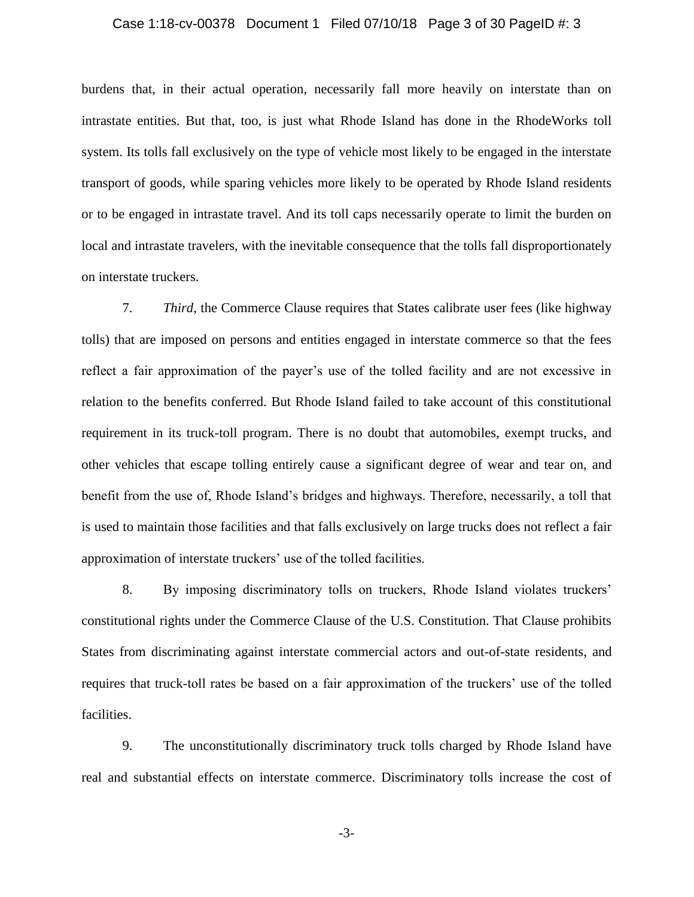## Case 1:18-cv-00378 Document 1 Filed 07/10/18 Page 3 of 30 PageID #: 3

burdens that, in their actual operation, necessarily fall more heavily on interstate than on intrastate entities. But that, too, is just what Rhode Island has done in the RhodeWorks toll system. Its tolls fall exclusively on the type of vehicle most likely to be engaged in the interstate transport of goods, while sparing vehicles more likely to be operated by Rhode Island residents or to be engaged in intrastate travel. And its toll caps necessarily operate to limit the burden on local and intrastate travelers, with the inevitable consequence that the tolls fall disproportionately on interstate truckers.

7. *Third*, the Commerce Clause requires that States calibrate user fees (like highway tolls) that are imposed on persons and entities engaged in interstate commerce so that the fees reflect a fair approximation of the payer's use of the tolled facility and are not excessive in relation to the benefits conferred. But Rhode Island failed to take account of this constitutional requirement in its truck-toll program. There is no doubt that automobiles, exempt trucks, and other vehicles that escape tolling entirely cause a significant degree of wear and tear on, and benefit from the use of, Rhode Island's bridges and highways. Therefore, necessarily, a toll that is used to maintain those facilities and that falls exclusively on large trucks does not reflect a fair approximation of interstate truckers' use of the tolled facilities.

8. By imposing discriminatory tolls on truckers, Rhode Island violates truckers' constitutional rights under the Commerce Clause of the U.S. Constitution. That Clause prohibits States from discriminating against interstate commercial actors and out-of-state residents, and requires that truck-toll rates be based on a fair approximation of the truckers' use of the tolled facilities.

9. The unconstitutionally discriminatory truck tolls charged by Rhode Island have real and substantial effects on interstate commerce. Discriminatory tolls increase the cost of

-3-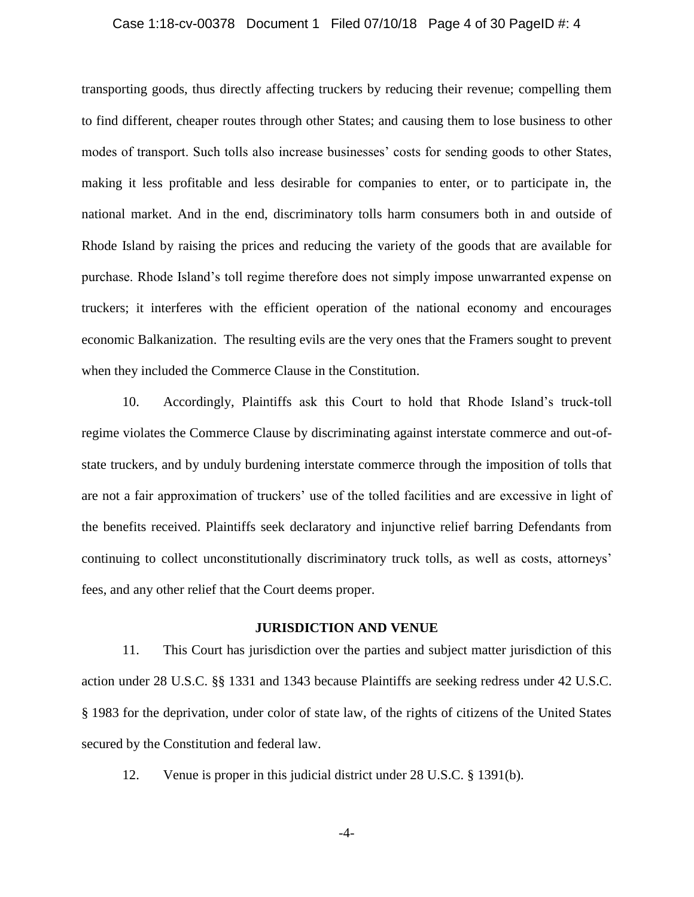## Case 1:18-cv-00378 Document 1 Filed 07/10/18 Page 4 of 30 PageID #: 4

transporting goods, thus directly affecting truckers by reducing their revenue; compelling them to find different, cheaper routes through other States; and causing them to lose business to other modes of transport. Such tolls also increase businesses' costs for sending goods to other States, making it less profitable and less desirable for companies to enter, or to participate in, the national market. And in the end, discriminatory tolls harm consumers both in and outside of Rhode Island by raising the prices and reducing the variety of the goods that are available for purchase. Rhode Island's toll regime therefore does not simply impose unwarranted expense on truckers; it interferes with the efficient operation of the national economy and encourages economic Balkanization. The resulting evils are the very ones that the Framers sought to prevent when they included the Commerce Clause in the Constitution.

10. Accordingly, Plaintiffs ask this Court to hold that Rhode Island's truck-toll regime violates the Commerce Clause by discriminating against interstate commerce and out-ofstate truckers, and by unduly burdening interstate commerce through the imposition of tolls that are not a fair approximation of truckers' use of the tolled facilities and are excessive in light of the benefits received. Plaintiffs seek declaratory and injunctive relief barring Defendants from continuing to collect unconstitutionally discriminatory truck tolls, as well as costs, attorneys' fees, and any other relief that the Court deems proper.

#### **JURISDICTION AND VENUE**

11. This Court has jurisdiction over the parties and subject matter jurisdiction of this action under 28 U.S.C. §§ 1331 and 1343 because Plaintiffs are seeking redress under 42 U.S.C. § 1983 for the deprivation, under color of state law, of the rights of citizens of the United States secured by the Constitution and federal law.

12. Venue is proper in this judicial district under 28 U.S.C. § 1391(b).

-4-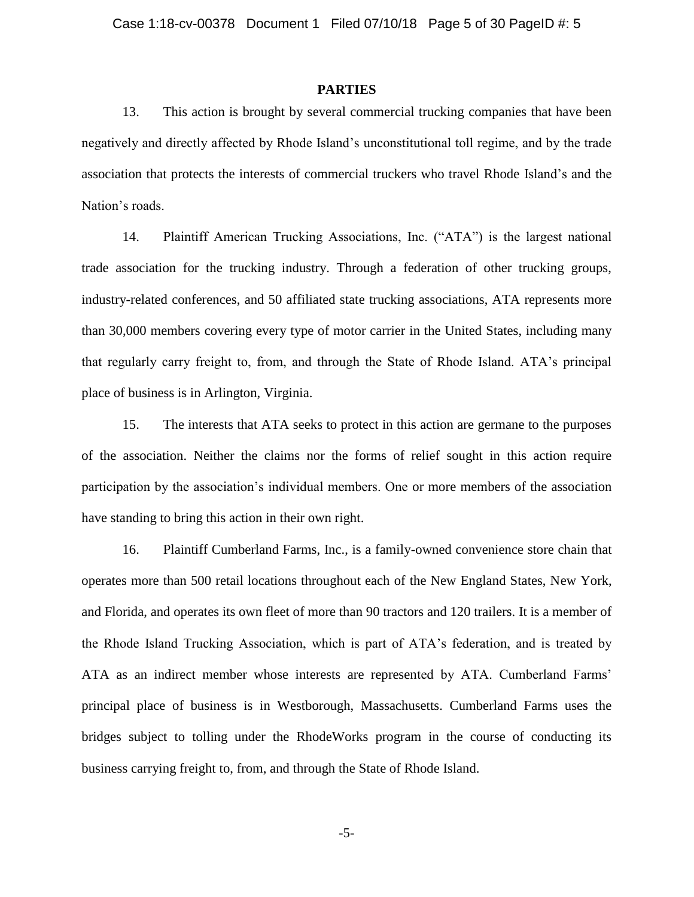# **PARTIES**

13. This action is brought by several commercial trucking companies that have been negatively and directly affected by Rhode Island's unconstitutional toll regime, and by the trade association that protects the interests of commercial truckers who travel Rhode Island's and the Nation's roads.

14. Plaintiff American Trucking Associations, Inc. ("ATA") is the largest national trade association for the trucking industry. Through a federation of other trucking groups, industry-related conferences, and 50 affiliated state trucking associations, ATA represents more than 30,000 members covering every type of motor carrier in the United States, including many that regularly carry freight to, from, and through the State of Rhode Island. ATA's principal place of business is in Arlington, Virginia.

15. The interests that ATA seeks to protect in this action are germane to the purposes of the association. Neither the claims nor the forms of relief sought in this action require participation by the association's individual members. One or more members of the association have standing to bring this action in their own right.

16. Plaintiff Cumberland Farms, Inc., is a family-owned convenience store chain that operates more than 500 retail locations throughout each of the New England States, New York, and Florida, and operates its own fleet of more than 90 tractors and 120 trailers. It is a member of the Rhode Island Trucking Association, which is part of ATA's federation, and is treated by ATA as an indirect member whose interests are represented by ATA. Cumberland Farms' principal place of business is in Westborough, Massachusetts. Cumberland Farms uses the bridges subject to tolling under the RhodeWorks program in the course of conducting its business carrying freight to, from, and through the State of Rhode Island.

-5-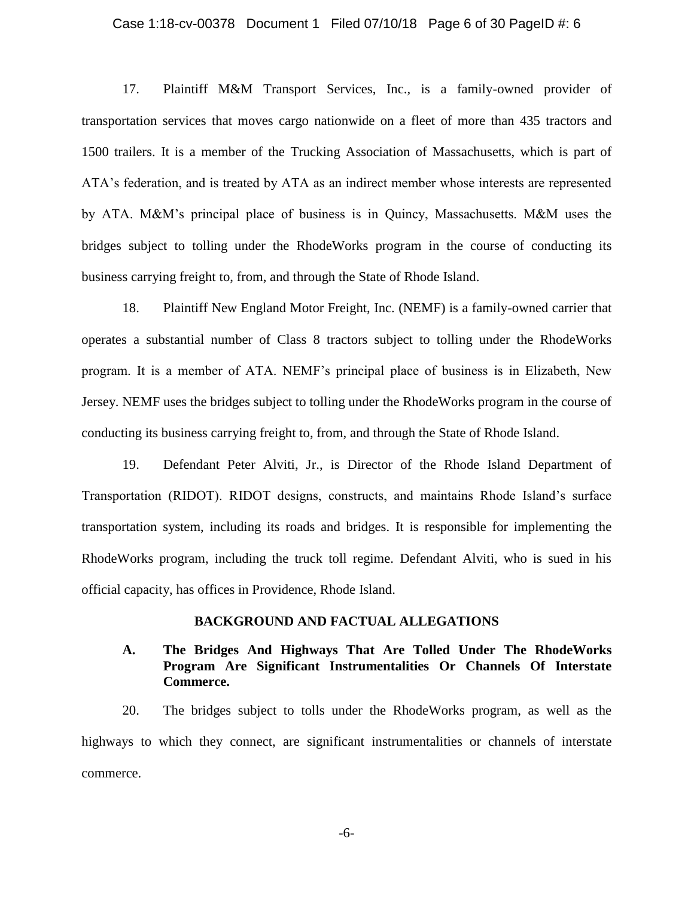## Case 1:18-cv-00378 Document 1 Filed 07/10/18 Page 6 of 30 PageID #: 6

17. Plaintiff M&M Transport Services, Inc., is a family-owned provider of transportation services that moves cargo nationwide on a fleet of more than 435 tractors and 1500 trailers. It is a member of the Trucking Association of Massachusetts, which is part of ATA's federation, and is treated by ATA as an indirect member whose interests are represented by ATA. M&M's principal place of business is in Quincy, Massachusetts. M&M uses the bridges subject to tolling under the RhodeWorks program in the course of conducting its business carrying freight to, from, and through the State of Rhode Island.

18. Plaintiff New England Motor Freight, Inc. (NEMF) is a family-owned carrier that operates a substantial number of Class 8 tractors subject to tolling under the RhodeWorks program. It is a member of ATA. NEMF's principal place of business is in Elizabeth, New Jersey. NEMF uses the bridges subject to tolling under the RhodeWorks program in the course of conducting its business carrying freight to, from, and through the State of Rhode Island.

19. Defendant Peter Alviti, Jr., is Director of the Rhode Island Department of Transportation (RIDOT). RIDOT designs, constructs, and maintains Rhode Island's surface transportation system, including its roads and bridges. It is responsible for implementing the RhodeWorks program, including the truck toll regime. Defendant Alviti, who is sued in his official capacity, has offices in Providence, Rhode Island.

# **BACKGROUND AND FACTUAL ALLEGATIONS**

# **A. The Bridges And Highways That Are Tolled Under The RhodeWorks Program Are Significant Instrumentalities Or Channels Of Interstate Commerce.**

20. The bridges subject to tolls under the RhodeWorks program, as well as the highways to which they connect, are significant instrumentalities or channels of interstate commerce.

-6-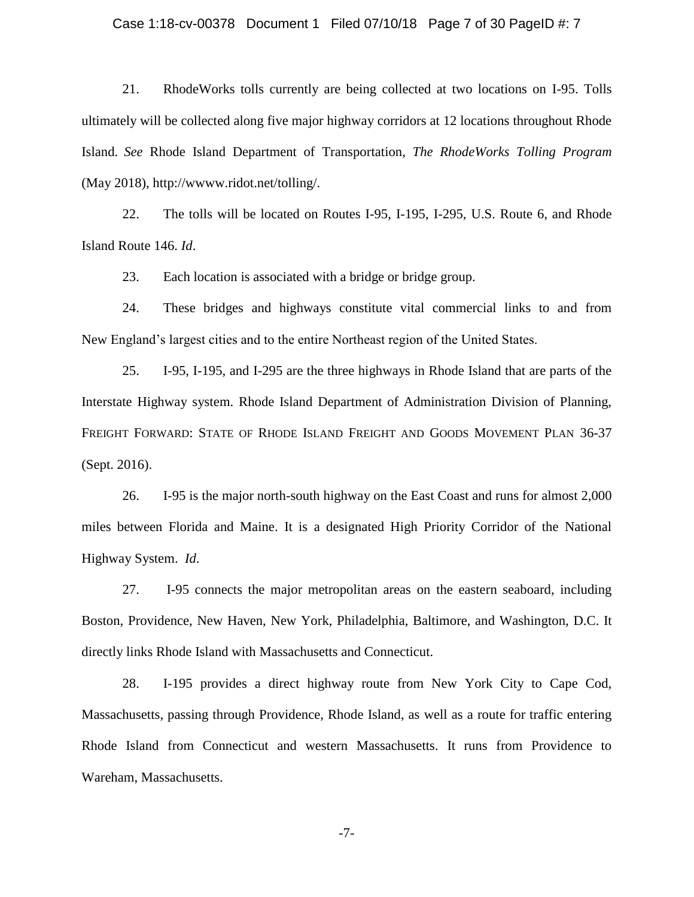## Case 1:18-cv-00378 Document 1 Filed 07/10/18 Page 7 of 30 PageID #: 7

21. RhodeWorks tolls currently are being collected at two locations on I-95. Tolls ultimately will be collected along five major highway corridors at 12 locations throughout Rhode Island. *See* Rhode Island Department of Transportation, *The RhodeWorks Tolling Program*  (May 2018), http://wwww.ridot.net/tolling/.

22. The tolls will be located on Routes I-95, I-195, I-295, U.S. Route 6, and Rhode Island Route 146. *Id*.

23. Each location is associated with a bridge or bridge group.

24. These bridges and highways constitute vital commercial links to and from New England's largest cities and to the entire Northeast region of the United States.

25. I-95, I-195, and I-295 are the three highways in Rhode Island that are parts of the Interstate Highway system. Rhode Island Department of Administration Division of Planning, FREIGHT FORWARD: STATE OF RHODE ISLAND FREIGHT AND GOODS MOVEMENT PLAN 36-37 (Sept. 2016).

26. I-95 is the major north-south highway on the East Coast and runs for almost 2,000 miles between Florida and Maine. It is a designated High Priority Corridor of the National Highway System. *Id*.

27. I-95 connects the major metropolitan areas on the eastern seaboard, including Boston, Providence, New Haven, New York, Philadelphia, Baltimore, and Washington, D.C. It directly links Rhode Island with Massachusetts and Connecticut.

28. I-195 provides a direct highway route from New York City to Cape Cod, Massachusetts, passing through Providence, Rhode Island, as well as a route for traffic entering Rhode Island from Connecticut and western Massachusetts. It runs from Providence to Wareham, Massachusetts.

-7-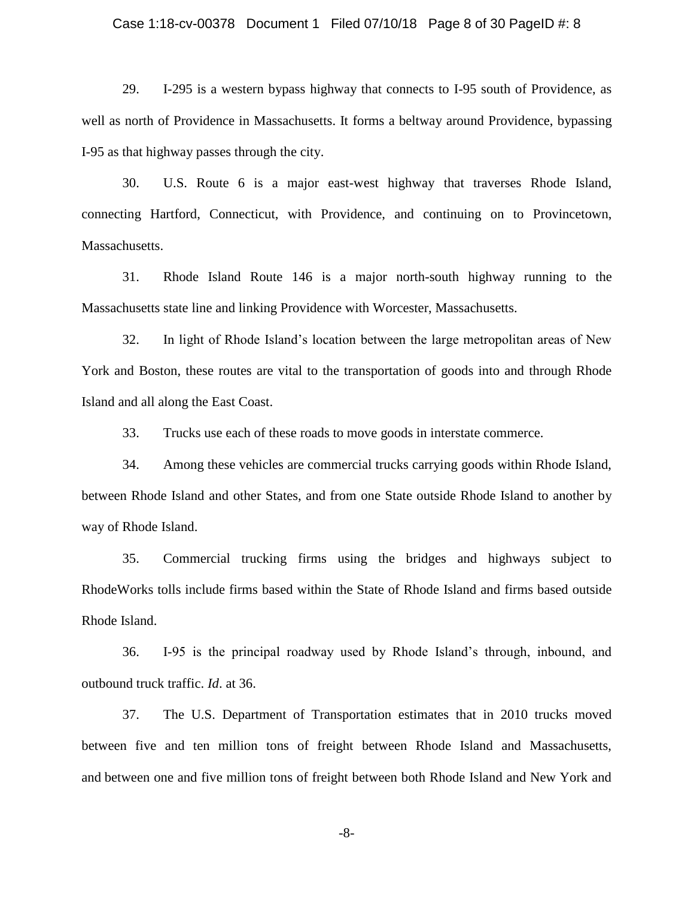## Case 1:18-cv-00378 Document 1 Filed 07/10/18 Page 8 of 30 PageID #: 8

29. I-295 is a western bypass highway that connects to I-95 south of Providence, as well as north of Providence in Massachusetts. It forms a beltway around Providence, bypassing I-95 as that highway passes through the city.

30. U.S. Route 6 is a major east-west highway that traverses Rhode Island, connecting Hartford, Connecticut, with Providence, and continuing on to Provincetown, Massachusetts.

31. Rhode Island Route 146 is a major north-south highway running to the Massachusetts state line and linking Providence with Worcester, Massachusetts.

32. In light of Rhode Island's location between the large metropolitan areas of New York and Boston, these routes are vital to the transportation of goods into and through Rhode Island and all along the East Coast.

33. Trucks use each of these roads to move goods in interstate commerce.

34. Among these vehicles are commercial trucks carrying goods within Rhode Island, between Rhode Island and other States, and from one State outside Rhode Island to another by way of Rhode Island.

35. Commercial trucking firms using the bridges and highways subject to RhodeWorks tolls include firms based within the State of Rhode Island and firms based outside Rhode Island.

36. I-95 is the principal roadway used by Rhode Island's through, inbound, and outbound truck traffic. *Id*. at 36.

37. The U.S. Department of Transportation estimates that in 2010 trucks moved between five and ten million tons of freight between Rhode Island and Massachusetts, and between one and five million tons of freight between both Rhode Island and New York and

-8-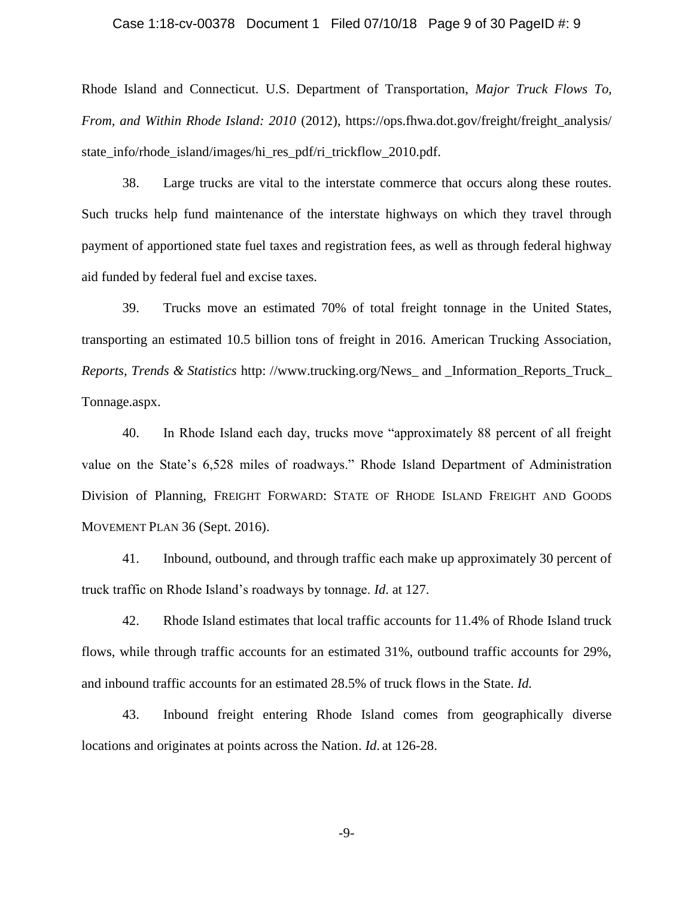## Case 1:18-cv-00378 Document 1 Filed 07/10/18 Page 9 of 30 PageID #: 9

Rhode Island and Connecticut. U.S. Department of Transportation, *Major Truck Flows To, From, and Within Rhode Island: 2010 (2012), https://ops.fhwa.dot.gov/freight/freight analysis/* state\_info/rhode\_island/images/hi\_res\_pdf/ri\_trickflow\_2010.pdf.

38. Large trucks are vital to the interstate commerce that occurs along these routes. Such trucks help fund maintenance of the interstate highways on which they travel through payment of apportioned state fuel taxes and registration fees, as well as through federal highway aid funded by federal fuel and excise taxes.

39. Trucks move an estimated 70% of total freight tonnage in the United States, transporting an estimated 10.5 billion tons of freight in 2016. American Trucking Association, *Reports, Trends & Statistics* http: //www.trucking.org/News\_ and \_Information\_Reports\_Truck\_ Tonnage.aspx.

40. In Rhode Island each day, trucks move "approximately 88 percent of all freight value on the State's 6,528 miles of roadways." Rhode Island Department of Administration Division of Planning, FREIGHT FORWARD: STATE OF RHODE ISLAND FREIGHT AND GOODS MOVEMENT PLAN 36 (Sept. 2016).

41. Inbound, outbound, and through traffic each make up approximately 30 percent of truck traffic on Rhode Island's roadways by tonnage. *Id*. at 127.

42. Rhode Island estimates that local traffic accounts for 11.4% of Rhode Island truck flows, while through traffic accounts for an estimated 31%, outbound traffic accounts for 29%, and inbound traffic accounts for an estimated 28.5% of truck flows in the State. *Id.*

43. Inbound freight entering Rhode Island comes from geographically diverse locations and originates at points across the Nation. *Id*. at 126-28.

-9-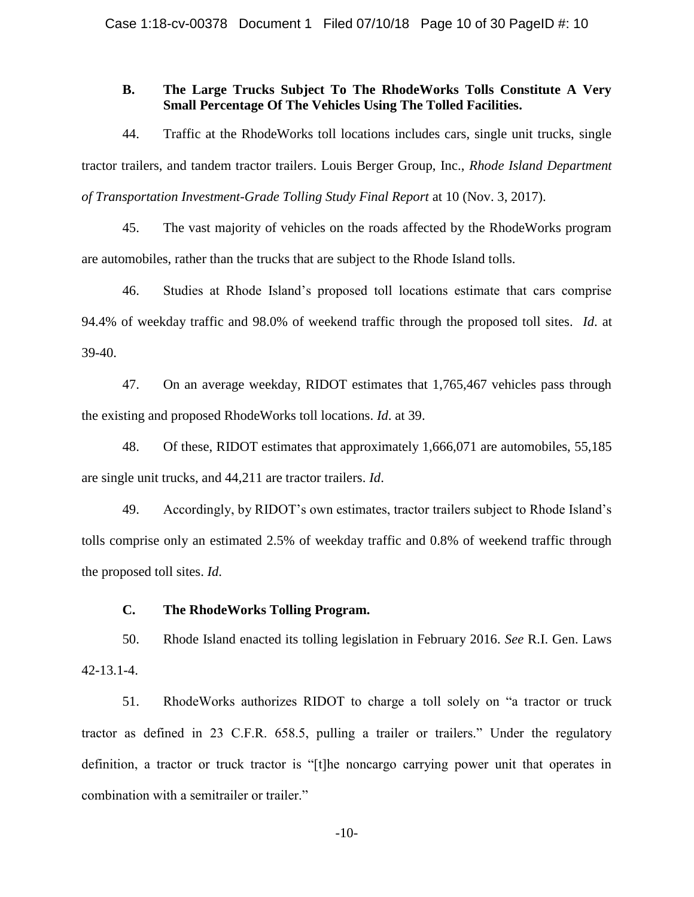# **B. The Large Trucks Subject To The RhodeWorks Tolls Constitute A Very Small Percentage Of The Vehicles Using The Tolled Facilities.**

44. Traffic at the RhodeWorks toll locations includes cars, single unit trucks, single tractor trailers, and tandem tractor trailers. Louis Berger Group, Inc., *Rhode Island Department of Transportation Investment-Grade Tolling Study Final Report* at 10 (Nov. 3, 2017).

45. The vast majority of vehicles on the roads affected by the RhodeWorks program are automobiles, rather than the trucks that are subject to the Rhode Island tolls.

46. Studies at Rhode Island's proposed toll locations estimate that cars comprise 94.4% of weekday traffic and 98.0% of weekend traffic through the proposed toll sites. *Id*. at 39-40.

47. On an average weekday, RIDOT estimates that 1,765,467 vehicles pass through the existing and proposed RhodeWorks toll locations. *Id*. at 39.

48. Of these, RIDOT estimates that approximately 1,666,071 are automobiles, 55,185 are single unit trucks, and 44,211 are tractor trailers. *Id*.

49. Accordingly, by RIDOT's own estimates, tractor trailers subject to Rhode Island's tolls comprise only an estimated 2.5% of weekday traffic and 0.8% of weekend traffic through the proposed toll sites. *Id*.

# **C. The RhodeWorks Tolling Program.**

50. Rhode Island enacted its tolling legislation in February 2016. *See* R.I. Gen. Laws 42-13.1-4.

51. RhodeWorks authorizes RIDOT to charge a toll solely on "a tractor or truck tractor as defined in 23 C.F.R. 658.5, pulling a trailer or trailers." Under the regulatory definition, a tractor or truck tractor is "[t]he noncargo carrying power unit that operates in combination with a semitrailer or trailer."

-10-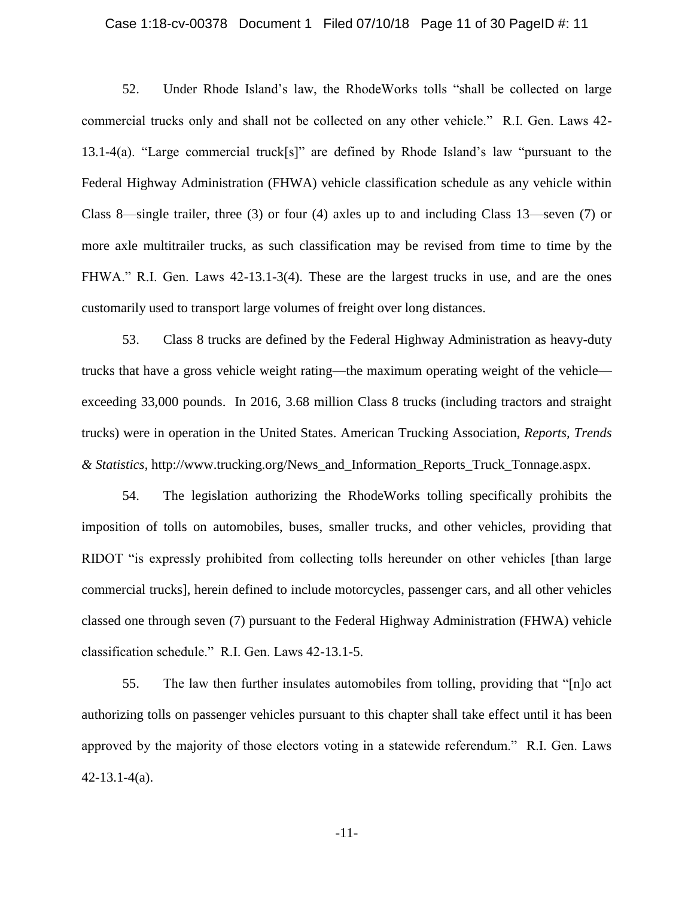# Case 1:18-cv-00378 Document 1 Filed 07/10/18 Page 11 of 30 PageID #: 11

52. Under Rhode Island's law, the RhodeWorks tolls "shall be collected on large commercial trucks only and shall not be collected on any other vehicle." R.I. Gen. Laws 42- 13.1-4(a). "Large commercial truck[s]" are defined by Rhode Island's law "pursuant to the Federal Highway Administration (FHWA) vehicle classification schedule as any vehicle within Class 8—single trailer, three (3) or four (4) axles up to and including Class 13—seven (7) or more axle multitrailer trucks, as such classification may be revised from time to time by the FHWA." R.I. Gen. Laws 42-13.1-3(4). These are the largest trucks in use, and are the ones customarily used to transport large volumes of freight over long distances.

53. Class 8 trucks are defined by the Federal Highway Administration as heavy-duty trucks that have a gross vehicle weight rating—the maximum operating weight of the vehicle exceeding 33,000 pounds. In 2016, 3.68 million Class 8 trucks (including tractors and straight trucks) were in operation in the United States. American Trucking Association, *Reports, Trends & Statistics*, http://www.trucking.org/News\_and\_Information\_Reports\_Truck\_Tonnage.aspx.

54. The legislation authorizing the RhodeWorks tolling specifically prohibits the imposition of tolls on automobiles, buses, smaller trucks, and other vehicles, providing that RIDOT "is expressly prohibited from collecting tolls hereunder on other vehicles [than large commercial trucks], herein defined to include motorcycles, passenger cars, and all other vehicles classed one through seven (7) pursuant to the Federal Highway Administration (FHWA) vehicle classification schedule." R.I. Gen. Laws 42-13.1-5.

55. The law then further insulates automobiles from tolling, providing that "[n]o act authorizing tolls on passenger vehicles pursuant to this chapter shall take effect until it has been approved by the majority of those electors voting in a statewide referendum." R.I. Gen. Laws 42-13.1-4(a).

-11-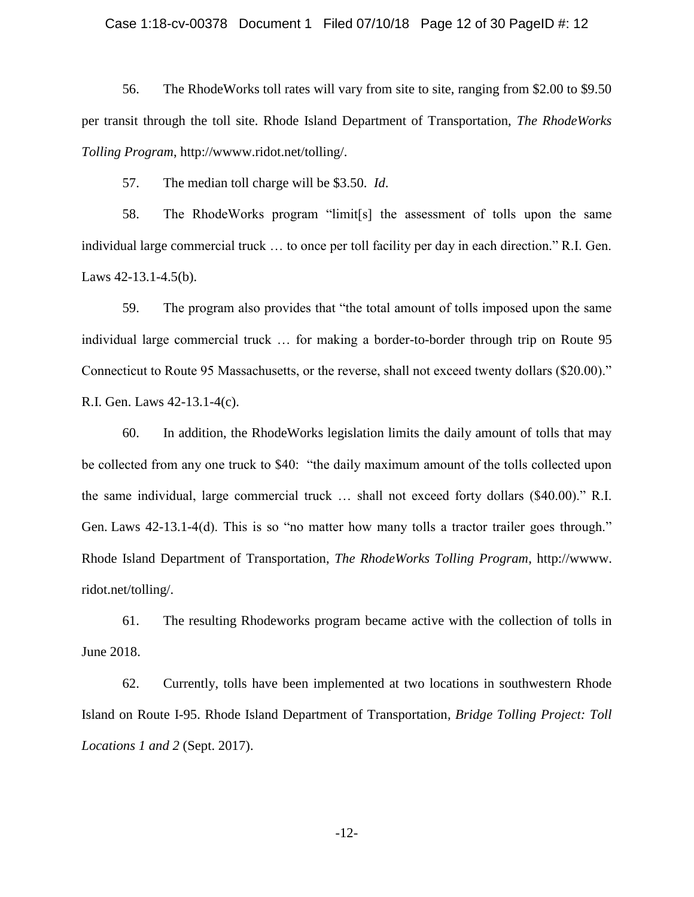## Case 1:18-cv-00378 Document 1 Filed 07/10/18 Page 12 of 30 PageID #: 12

56. The RhodeWorks toll rates will vary from site to site, ranging from \$2.00 to \$9.50 per transit through the toll site. Rhode Island Department of Transportation, *The RhodeWorks Tolling Program*, http://wwww.ridot.net/tolling/.

57. The median toll charge will be \$3.50. *Id*.

58. The RhodeWorks program "limit[s] the assessment of tolls upon the same individual large commercial truck … to once per toll facility per day in each direction." R.I. Gen. Laws 42-13.1-4.5(b).

59. The program also provides that "the total amount of tolls imposed upon the same individual large commercial truck … for making a border-to-border through trip on Route 95 Connecticut to Route 95 Massachusetts, or the reverse, shall not exceed twenty dollars (\$20.00)." R.I. Gen. Laws 42-13.1-4(c).

60. In addition, the RhodeWorks legislation limits the daily amount of tolls that may be collected from any one truck to \$40: "the daily maximum amount of the tolls collected upon the same individual, large commercial truck … shall not exceed forty dollars (\$40.00)." R.I. Gen. Laws 42-13.1-4(d). This is so "no matter how many tolls a tractor trailer goes through." Rhode Island Department of Transportation, *The RhodeWorks Tolling Program*, http://wwww. ridot.net/tolling/.

61. The resulting Rhodeworks program became active with the collection of tolls in June 2018.

62. Currently, tolls have been implemented at two locations in southwestern Rhode Island on Route I-95. Rhode Island Department of Transportation*, Bridge Tolling Project: Toll Locations 1 and 2* (Sept. 2017).

-12-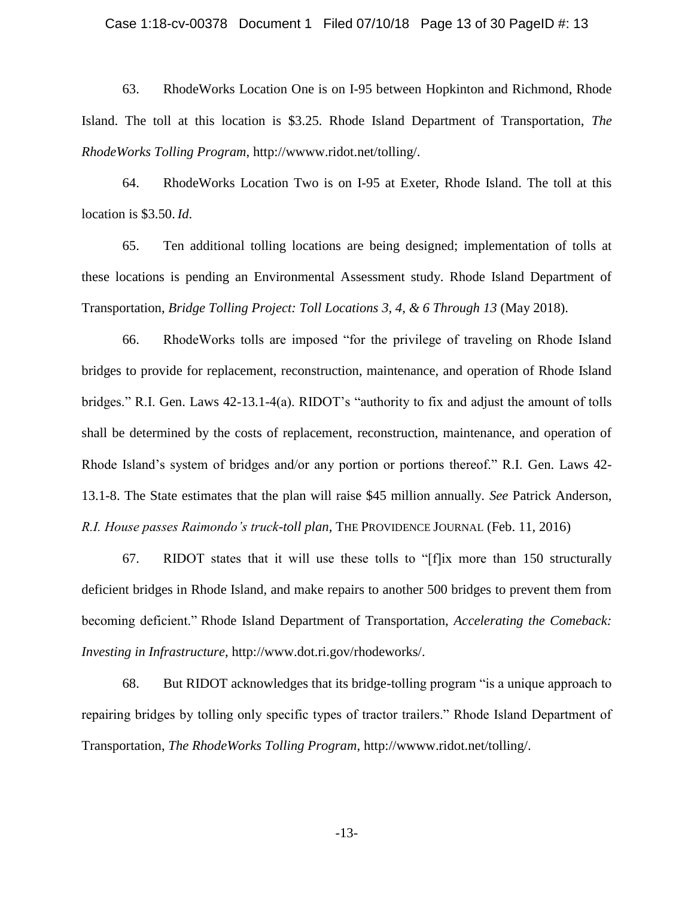#### Case 1:18-cv-00378 Document 1 Filed 07/10/18 Page 13 of 30 PageID #: 13

63. RhodeWorks Location One is on I-95 between Hopkinton and Richmond, Rhode Island. The toll at this location is \$3.25. Rhode Island Department of Transportation, *The RhodeWorks Tolling Program*, http://wwww.ridot.net/tolling/.

64. RhodeWorks Location Two is on I-95 at Exeter, Rhode Island. The toll at this location is \$3.50. *Id*.

65. Ten additional tolling locations are being designed; implementation of tolls at these locations is pending an Environmental Assessment study. Rhode Island Department of Transportation, *Bridge Tolling Project: Toll Locations 3, 4, & 6 Through 13* (May 2018).

66. RhodeWorks tolls are imposed "for the privilege of traveling on Rhode Island bridges to provide for replacement, reconstruction, maintenance, and operation of Rhode Island bridges." R.I. Gen. Laws 42-13.1-4(a). RIDOT's "authority to fix and adjust the amount of tolls shall be determined by the costs of replacement, reconstruction, maintenance, and operation of Rhode Island's system of bridges and/or any portion or portions thereof." R.I. Gen. Laws 42- 13.1-8. The State estimates that the plan will raise \$45 million annually. *See* Patrick Anderson, *R.I. House passes Raimondo's truck-toll plan*, THE PROVIDENCE JOURNAL (Feb. 11, 2016)

67. RIDOT states that it will use these tolls to "[f]ix more than 150 structurally deficient bridges in Rhode Island, and make repairs to another 500 bridges to prevent them from becoming deficient." Rhode Island Department of Transportation, *Accelerating the Comeback: Investing in Infrastructure*, http://www.dot.ri.gov/rhodeworks/.

68. But RIDOT acknowledges that its bridge-tolling program "is a unique approach to repairing bridges by tolling only specific types of tractor trailers." Rhode Island Department of Transportation, *The RhodeWorks Tolling Program*, http://wwww.ridot.net/tolling/.

-13-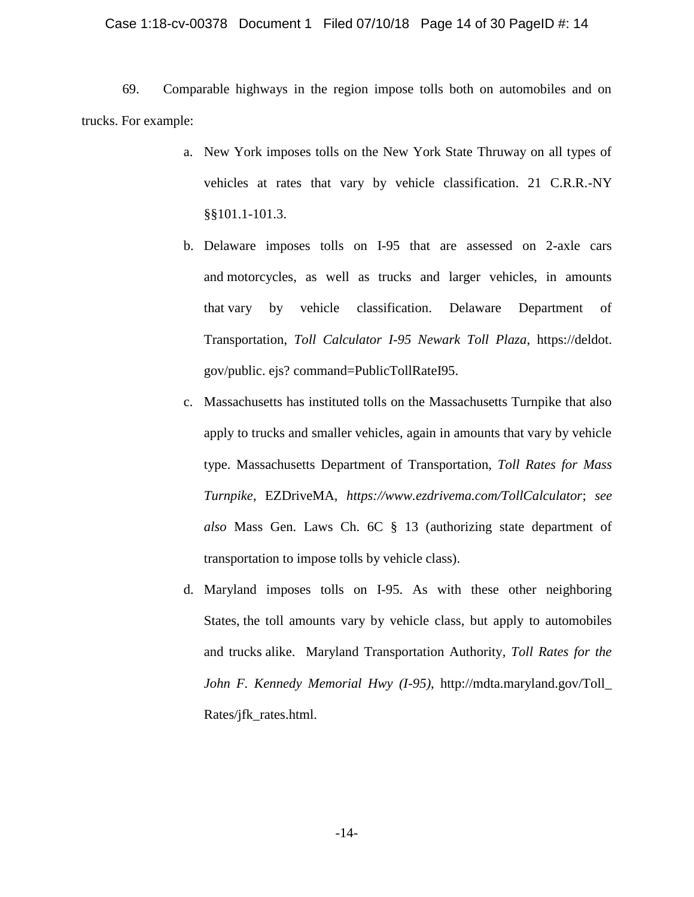## Case 1:18-cv-00378 Document 1 Filed 07/10/18 Page 14 of 30 PageID #: 14

69. Comparable highways in the region impose tolls both on automobiles and on trucks. For example:

- a. New York imposes tolls on the New York State Thruway on all types of vehicles at rates that vary by vehicle classification. 21 C.R.R.-NY §§101.1-101.3.
- b. Delaware imposes tolls on I-95 that are assessed on 2-axle cars and motorcycles, as well as trucks and larger vehicles, in amounts that vary by vehicle classification. Delaware Department of Transportation, *Toll Calculator I-95 Newark Toll Plaza*, https://deldot. gov/public. ejs? command=PublicTollRateI95.
- c. Massachusetts has instituted tolls on the Massachusetts Turnpike that also apply to trucks and smaller vehicles, again in amounts that vary by vehicle type. Massachusetts Department of Transportation, *Toll Rates for Mass Turnpike*, EZDriveMA, *https://www.ezdrivema.com/TollCalculator*; *see also* Mass Gen. Laws Ch. 6C § 13 (authorizing state department of transportation to impose tolls by vehicle class).
- d. Maryland imposes tolls on I-95. As with these other neighboring States, the toll amounts vary by vehicle class, but apply to automobiles and trucks alike. Maryland Transportation Authority*, Toll Rates for the John F. Kennedy Memorial Hwy (I-95)*, http://mdta.maryland.gov/Toll\_ Rates/jfk\_rates.html.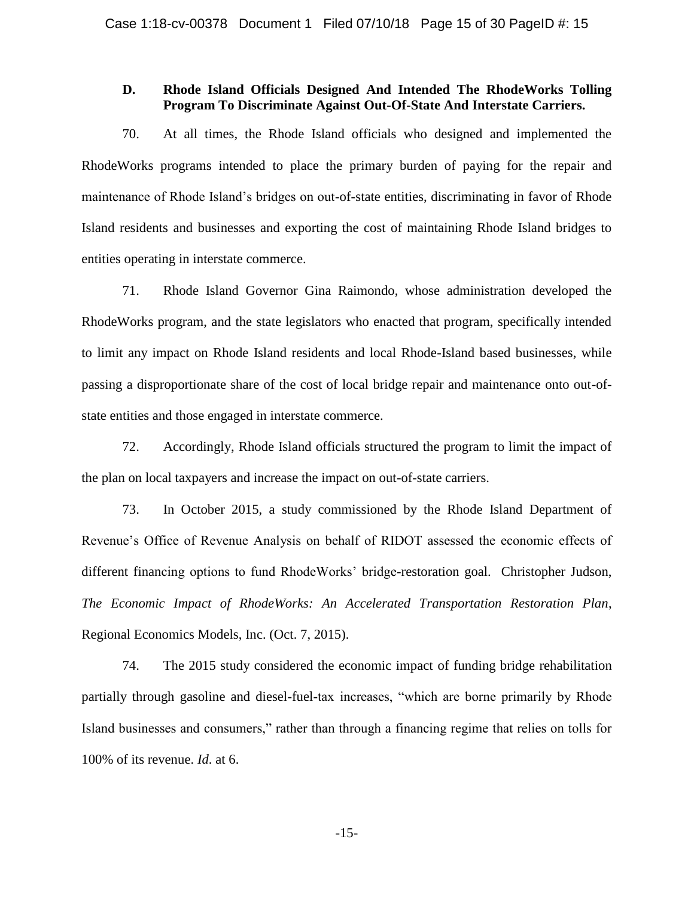# **D. Rhode Island Officials Designed And Intended The RhodeWorks Tolling Program To Discriminate Against Out-Of-State And Interstate Carriers.**

70. At all times, the Rhode Island officials who designed and implemented the RhodeWorks programs intended to place the primary burden of paying for the repair and maintenance of Rhode Island's bridges on out-of-state entities, discriminating in favor of Rhode Island residents and businesses and exporting the cost of maintaining Rhode Island bridges to entities operating in interstate commerce.

71. Rhode Island Governor Gina Raimondo, whose administration developed the RhodeWorks program, and the state legislators who enacted that program, specifically intended to limit any impact on Rhode Island residents and local Rhode-Island based businesses, while passing a disproportionate share of the cost of local bridge repair and maintenance onto out-ofstate entities and those engaged in interstate commerce.

72. Accordingly, Rhode Island officials structured the program to limit the impact of the plan on local taxpayers and increase the impact on out-of-state carriers.

73. In October 2015, a study commissioned by the Rhode Island Department of Revenue's Office of Revenue Analysis on behalf of RIDOT assessed the economic effects of different financing options to fund RhodeWorks' bridge-restoration goal. Christopher Judson, *The Economic Impact of RhodeWorks: An Accelerated Transportation Restoration Plan*, Regional Economics Models, Inc. (Oct. 7, 2015).

74. The 2015 study considered the economic impact of funding bridge rehabilitation partially through gasoline and diesel-fuel-tax increases, "which are borne primarily by Rhode Island businesses and consumers," rather than through a financing regime that relies on tolls for 100% of its revenue. *Id*. at 6.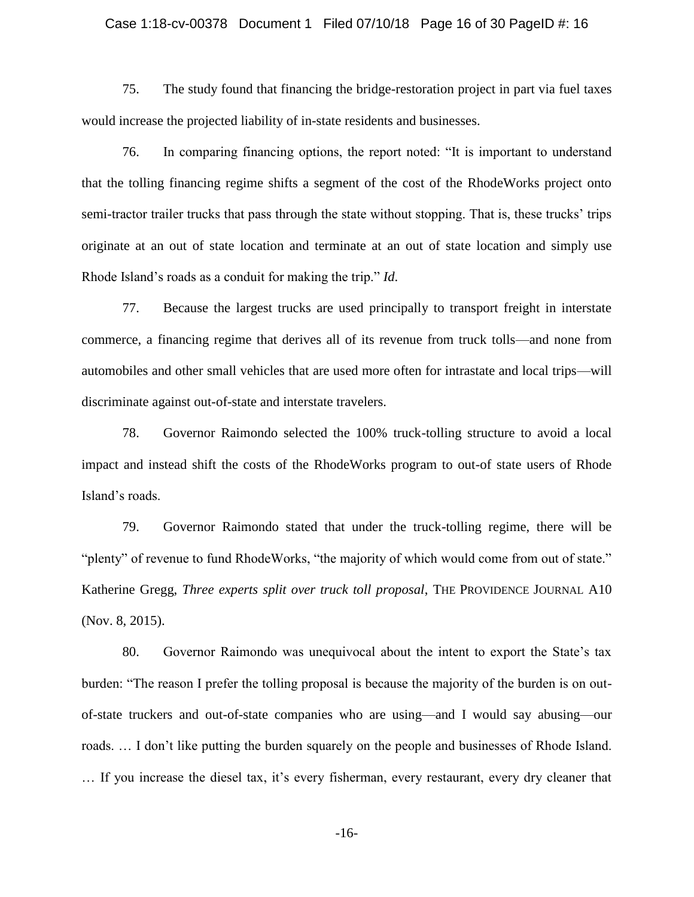#### Case 1:18-cv-00378 Document 1 Filed 07/10/18 Page 16 of 30 PageID #: 16

75. The study found that financing the bridge-restoration project in part via fuel taxes would increase the projected liability of in-state residents and businesses.

76. In comparing financing options, the report noted: "It is important to understand that the tolling financing regime shifts a segment of the cost of the RhodeWorks project onto semi-tractor trailer trucks that pass through the state without stopping. That is, these trucks' trips originate at an out of state location and terminate at an out of state location and simply use Rhode Island's roads as a conduit for making the trip." *Id*.

77. Because the largest trucks are used principally to transport freight in interstate commerce, a financing regime that derives all of its revenue from truck tolls—and none from automobiles and other small vehicles that are used more often for intrastate and local trips—will discriminate against out-of-state and interstate travelers.

78. Governor Raimondo selected the 100% truck-tolling structure to avoid a local impact and instead shift the costs of the RhodeWorks program to out-of state users of Rhode Island's roads.

79. Governor Raimondo stated that under the truck-tolling regime, there will be "plenty" of revenue to fund RhodeWorks, "the majority of which would come from out of state." Katherine Gregg, *Three experts split over truck toll proposal*, THE PROVIDENCE JOURNAL A10 (Nov. 8, 2015).

80. Governor Raimondo was unequivocal about the intent to export the State's tax burden: "The reason I prefer the tolling proposal is because the majority of the burden is on outof-state truckers and out-of-state companies who are using—and I would say abusing—our roads. … I don't like putting the burden squarely on the people and businesses of Rhode Island. … If you increase the diesel tax, it's every fisherman, every restaurant, every dry cleaner that

-16-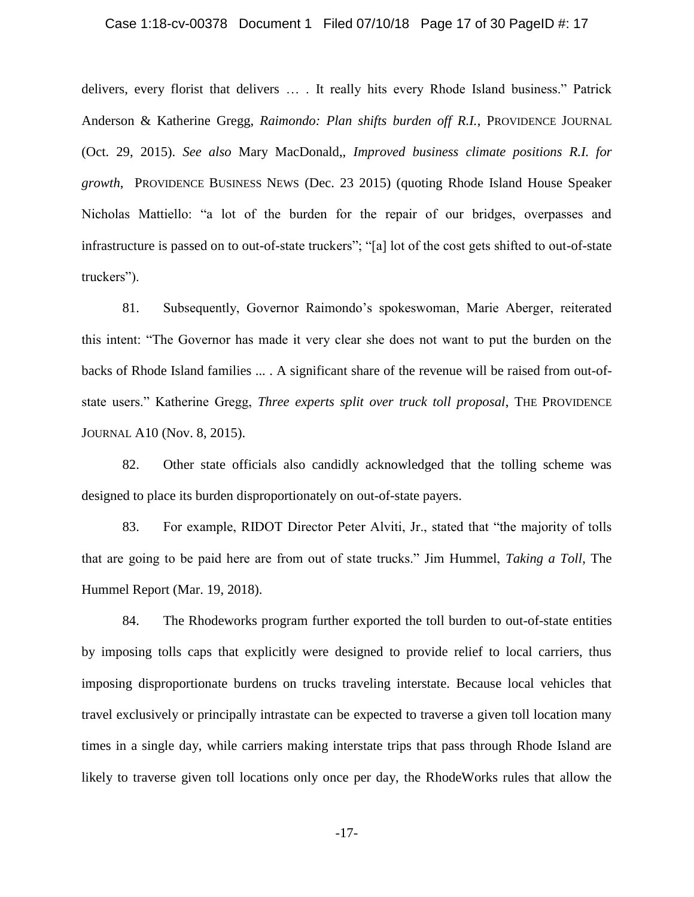#### Case 1:18-cv-00378 Document 1 Filed 07/10/18 Page 17 of 30 PageID #: 17

delivers, every florist that delivers … . It really hits every Rhode Island business." Patrick Anderson & Katherine Gregg, *Raimondo: Plan shifts burden off R.I.*, PROVIDENCE JOURNAL (Oct. 29, 2015). *See also* Mary MacDonald,, *Improved business climate positions R.I. for growth*, PROVIDENCE BUSINESS NEWS (Dec. 23 2015) (quoting Rhode Island House Speaker Nicholas Mattiello: "a lot of the burden for the repair of our bridges, overpasses and infrastructure is passed on to out-of-state truckers"; "[a] lot of the cost gets shifted to out-of-state truckers").

81. Subsequently, Governor Raimondo's spokeswoman, Marie Aberger, reiterated this intent: "The Governor has made it very clear she does not want to put the burden on the backs of Rhode Island families ... . A significant share of the revenue will be raised from out-ofstate users." Katherine Gregg, *Three experts split over truck toll proposal*, THE PROVIDENCE JOURNAL A10 (Nov. 8, 2015).

82. Other state officials also candidly acknowledged that the tolling scheme was designed to place its burden disproportionately on out-of-state payers.

83. For example, RIDOT Director Peter Alviti, Jr., stated that "the majority of tolls that are going to be paid here are from out of state trucks." Jim Hummel, *Taking a Toll*, The Hummel Report (Mar. 19, 2018).

84. The Rhodeworks program further exported the toll burden to out-of-state entities by imposing tolls caps that explicitly were designed to provide relief to local carriers, thus imposing disproportionate burdens on trucks traveling interstate. Because local vehicles that travel exclusively or principally intrastate can be expected to traverse a given toll location many times in a single day, while carriers making interstate trips that pass through Rhode Island are likely to traverse given toll locations only once per day, the RhodeWorks rules that allow the

-17-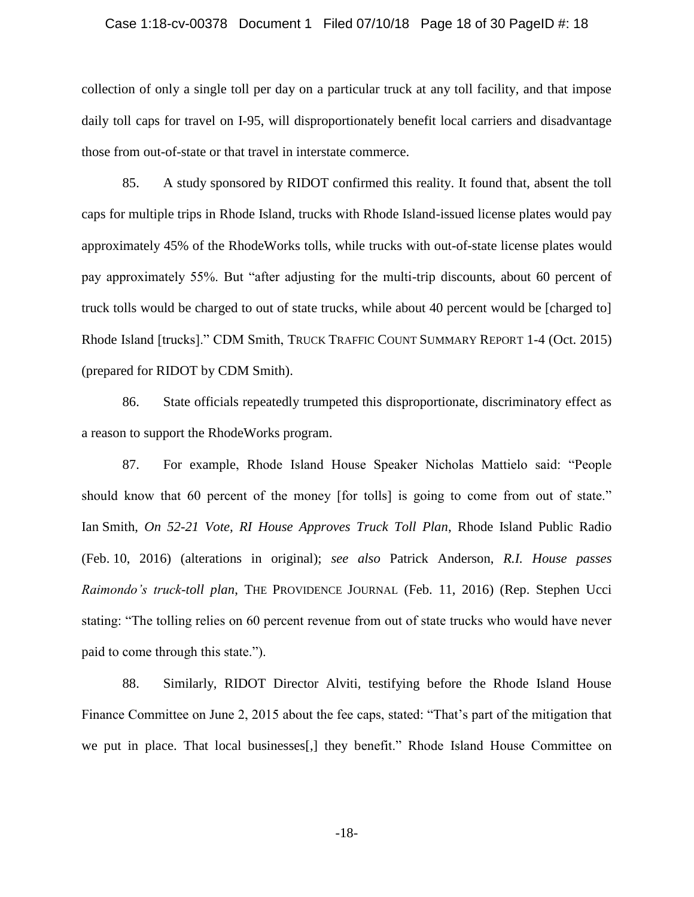#### Case 1:18-cv-00378 Document 1 Filed 07/10/18 Page 18 of 30 PageID #: 18

collection of only a single toll per day on a particular truck at any toll facility, and that impose daily toll caps for travel on I-95, will disproportionately benefit local carriers and disadvantage those from out-of-state or that travel in interstate commerce.

85. A study sponsored by RIDOT confirmed this reality. It found that, absent the toll caps for multiple trips in Rhode Island, trucks with Rhode Island-issued license plates would pay approximately 45% of the RhodeWorks tolls, while trucks with out-of-state license plates would pay approximately 55%. But "after adjusting for the multi-trip discounts, about 60 percent of truck tolls would be charged to out of state trucks, while about 40 percent would be [charged to] Rhode Island [trucks]." CDM Smith, TRUCK TRAFFIC COUNT SUMMARY REPORT 1-4 (Oct. 2015) (prepared for RIDOT by CDM Smith).

86. State officials repeatedly trumpeted this disproportionate, discriminatory effect as a reason to support the RhodeWorks program.

87. For example, Rhode Island House Speaker Nicholas Mattielo said: "People should know that 60 percent of the money [for tolls] is going to come from out of state." Ian Smith, *On 52-21 Vote, RI House Approves Truck Toll Plan*, Rhode Island Public Radio (Feb. 10, 2016) (alterations in original); *see also* Patrick Anderson, *R.I. House passes Raimondo's truck-toll plan*, THE PROVIDENCE JOURNAL (Feb. 11, 2016) (Rep. Stephen Ucci stating: "The tolling relies on 60 percent revenue from out of state trucks who would have never paid to come through this state.").

88. Similarly, RIDOT Director Alviti, testifying before the Rhode Island House Finance Committee on June 2, 2015 about the fee caps, stated: "That's part of the mitigation that we put in place. That local businesses[,] they benefit." Rhode Island House Committee on

-18-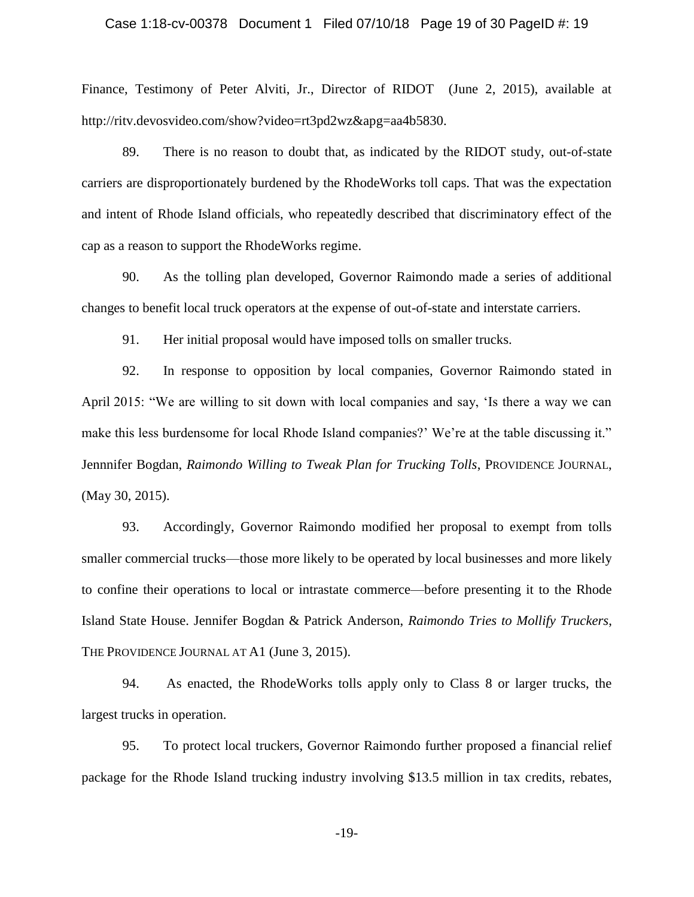#### Case 1:18-cv-00378 Document 1 Filed 07/10/18 Page 19 of 30 PageID #: 19

Finance, Testimony of Peter Alviti, Jr., Director of RIDOT (June 2, 2015), available at http://ritv.devosvideo.com/show?video=rt3pd2wz&apg=aa4b5830.

89. There is no reason to doubt that, as indicated by the RIDOT study, out-of-state carriers are disproportionately burdened by the RhodeWorks toll caps. That was the expectation and intent of Rhode Island officials, who repeatedly described that discriminatory effect of the cap as a reason to support the RhodeWorks regime.

90. As the tolling plan developed, Governor Raimondo made a series of additional changes to benefit local truck operators at the expense of out-of-state and interstate carriers.

91. Her initial proposal would have imposed tolls on smaller trucks.

92. In response to opposition by local companies, Governor Raimondo stated in April 2015: "We are willing to sit down with local companies and say, 'Is there a way we can make this less burdensome for local Rhode Island companies?' We're at the table discussing it." Jennnifer Bogdan, *Raimondo Willing to Tweak Plan for Trucking Tolls*, PROVIDENCE JOURNAL, (May 30, 2015).

93. Accordingly, Governor Raimondo modified her proposal to exempt from tolls smaller commercial trucks—those more likely to be operated by local businesses and more likely to confine their operations to local or intrastate commerce—before presenting it to the Rhode Island State House. Jennifer Bogdan & Patrick Anderson, *Raimondo Tries to Mollify Truckers*, THE PROVIDENCE JOURNAL AT A1 (June 3, 2015).

94. As enacted, the RhodeWorks tolls apply only to Class 8 or larger trucks, the largest trucks in operation.

95. To protect local truckers, Governor Raimondo further proposed a financial relief package for the Rhode Island trucking industry involving \$13.5 million in tax credits, rebates,

-19-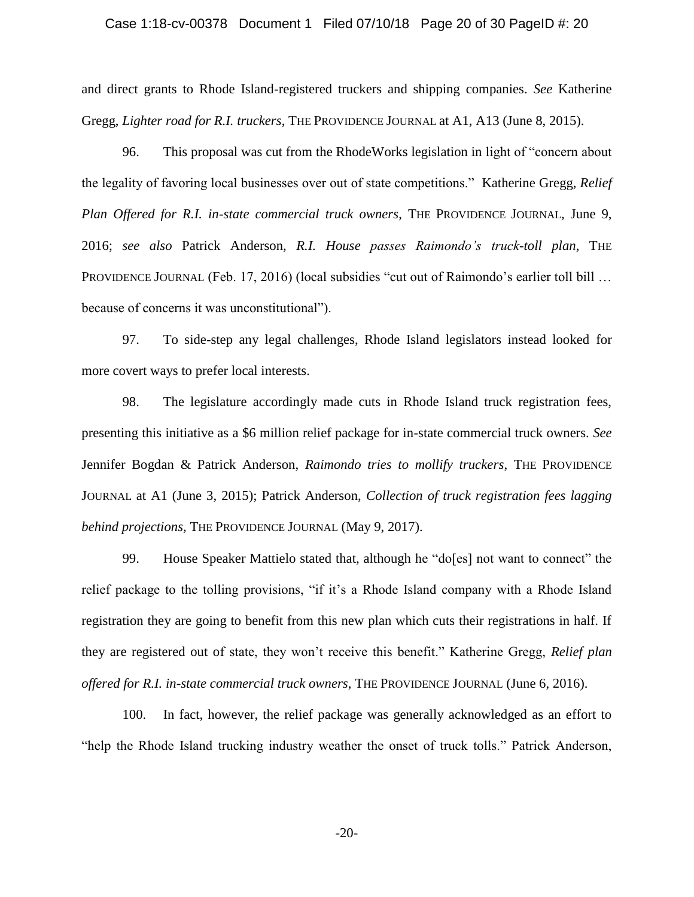## Case 1:18-cv-00378 Document 1 Filed 07/10/18 Page 20 of 30 PageID #: 20

and direct grants to Rhode Island-registered truckers and shipping companies. *See* Katherine Gregg, *Lighter road for R.I. truckers*, THE PROVIDENCE JOURNAL at A1, A13 (June 8, 2015).

96. This proposal was cut from the RhodeWorks legislation in light of "concern about the legality of favoring local businesses over out of state competitions." Katherine Gregg, *Relief Plan Offered for R.I. in-state commercial truck owners*, THE PROVIDENCE JOURNAL, June 9, 2016; *see also* Patrick Anderson, *R.I. House passes Raimondo's truck-toll plan*, THE PROVIDENCE JOURNAL (Feb. 17, 2016) (local subsidies "cut out of Raimondo's earlier toll bill … because of concerns it was unconstitutional").

97. To side-step any legal challenges, Rhode Island legislators instead looked for more covert ways to prefer local interests.

98. The legislature accordingly made cuts in Rhode Island truck registration fees, presenting this initiative as a \$6 million relief package for in-state commercial truck owners. *See* Jennifer Bogdan & Patrick Anderson, *Raimondo tries to mollify truckers*, THE PROVIDENCE JOURNAL at A1 (June 3, 2015); Patrick Anderson, *Collection of truck registration fees lagging behind projections,* THE PROVIDENCE JOURNAL (May 9, 2017).

99. House Speaker Mattielo stated that, although he "do[es] not want to connect" the relief package to the tolling provisions, "if it's a Rhode Island company with a Rhode Island registration they are going to benefit from this new plan which cuts their registrations in half. If they are registered out of state, they won't receive this benefit." Katherine Gregg, *Relief plan offered for R.I. in-state commercial truck owners*, THE PROVIDENCE JOURNAL (June 6, 2016).

100. In fact, however, the relief package was generally acknowledged as an effort to "help the Rhode Island trucking industry weather the onset of truck tolls." Patrick Anderson,

-20-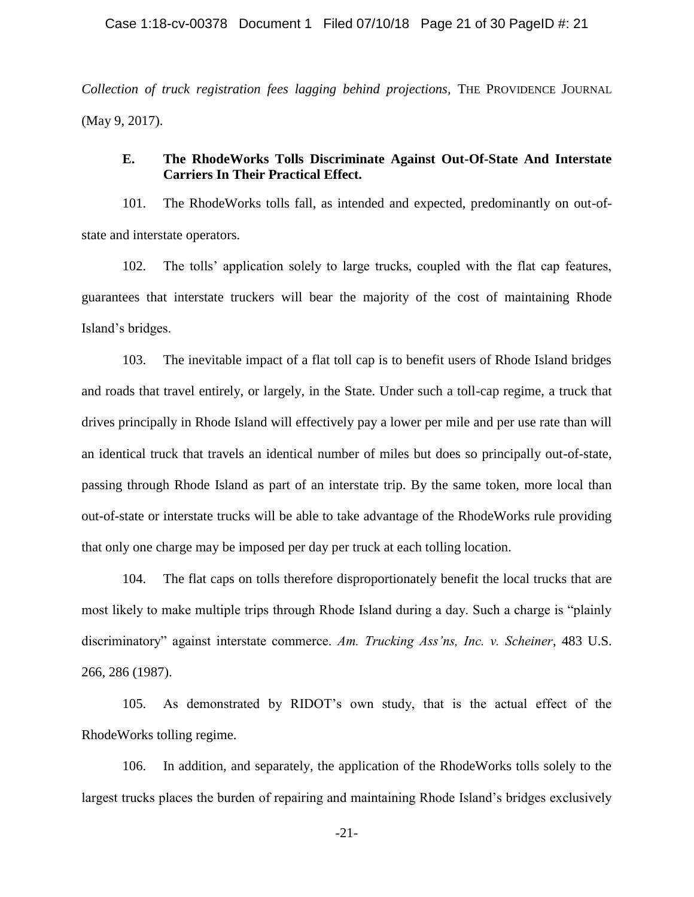*Collection of truck registration fees lagging behind projections,* THE PROVIDENCE JOURNAL (May 9, 2017).

# **E. The RhodeWorks Tolls Discriminate Against Out-Of-State And Interstate Carriers In Their Practical Effect.**

101. The RhodeWorks tolls fall, as intended and expected, predominantly on out-ofstate and interstate operators.

102. The tolls' application solely to large trucks, coupled with the flat cap features, guarantees that interstate truckers will bear the majority of the cost of maintaining Rhode Island's bridges.

103. The inevitable impact of a flat toll cap is to benefit users of Rhode Island bridges and roads that travel entirely, or largely, in the State. Under such a toll-cap regime, a truck that drives principally in Rhode Island will effectively pay a lower per mile and per use rate than will an identical truck that travels an identical number of miles but does so principally out-of-state, passing through Rhode Island as part of an interstate trip. By the same token, more local than out-of-state or interstate trucks will be able to take advantage of the RhodeWorks rule providing that only one charge may be imposed per day per truck at each tolling location.

104. The flat caps on tolls therefore disproportionately benefit the local trucks that are most likely to make multiple trips through Rhode Island during a day. Such a charge is "plainly discriminatory" against interstate commerce. *Am. Trucking Ass'ns, Inc. v. Scheiner*, 483 U.S. 266, 286 (1987).

105. As demonstrated by RIDOT's own study, that is the actual effect of the RhodeWorks tolling regime.

106. In addition, and separately, the application of the RhodeWorks tolls solely to the largest trucks places the burden of repairing and maintaining Rhode Island's bridges exclusively

-21-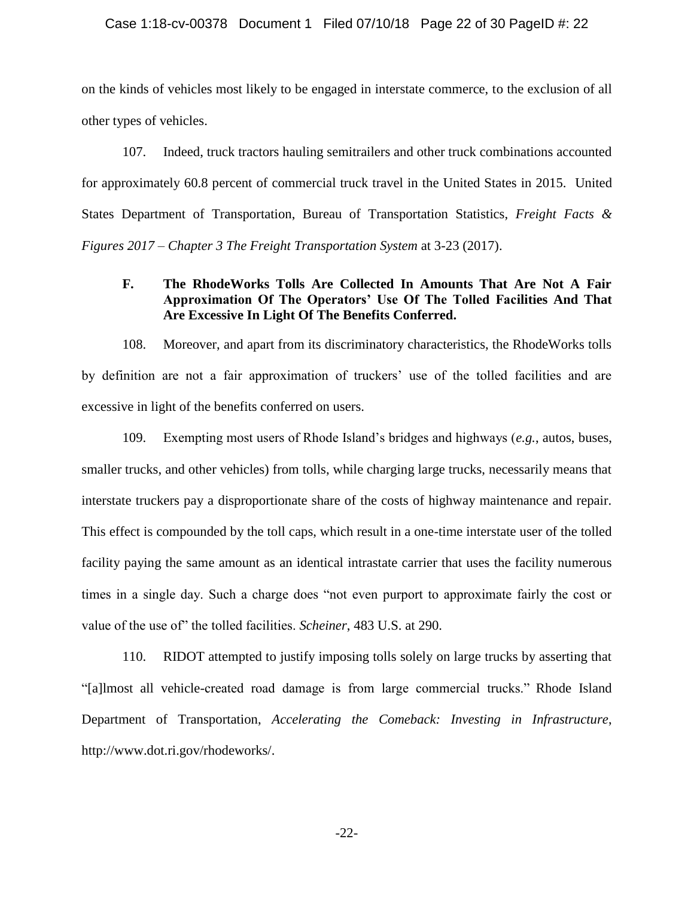#### Case 1:18-cv-00378 Document 1 Filed 07/10/18 Page 22 of 30 PageID #: 22

on the kinds of vehicles most likely to be engaged in interstate commerce, to the exclusion of all other types of vehicles.

107. Indeed, truck tractors hauling semitrailers and other truck combinations accounted for approximately 60.8 percent of commercial truck travel in the United States in 2015. United States Department of Transportation, Bureau of Transportation Statistics, *Freight Facts & Figures 2017 – Chapter 3 The Freight Transportation System* at 3-23 (2017).

# **F. The RhodeWorks Tolls Are Collected In Amounts That Are Not A Fair Approximation Of The Operators' Use Of The Tolled Facilities And That Are Excessive In Light Of The Benefits Conferred.**

108. Moreover, and apart from its discriminatory characteristics, the RhodeWorks tolls by definition are not a fair approximation of truckers' use of the tolled facilities and are excessive in light of the benefits conferred on users.

109. Exempting most users of Rhode Island's bridges and highways (*e.g.*, autos, buses, smaller trucks, and other vehicles) from tolls, while charging large trucks, necessarily means that interstate truckers pay a disproportionate share of the costs of highway maintenance and repair. This effect is compounded by the toll caps, which result in a one-time interstate user of the tolled facility paying the same amount as an identical intrastate carrier that uses the facility numerous times in a single day. Such a charge does "not even purport to approximate fairly the cost or value of the use of" the tolled facilities. *Scheiner*, 483 U.S. at 290.

110. RIDOT attempted to justify imposing tolls solely on large trucks by asserting that "[a]lmost all vehicle-created road damage is from large commercial trucks." Rhode Island Department of Transportation, *Accelerating the Comeback: Investing in Infrastructure*, http://www.dot.ri.gov/rhodeworks/.

-22-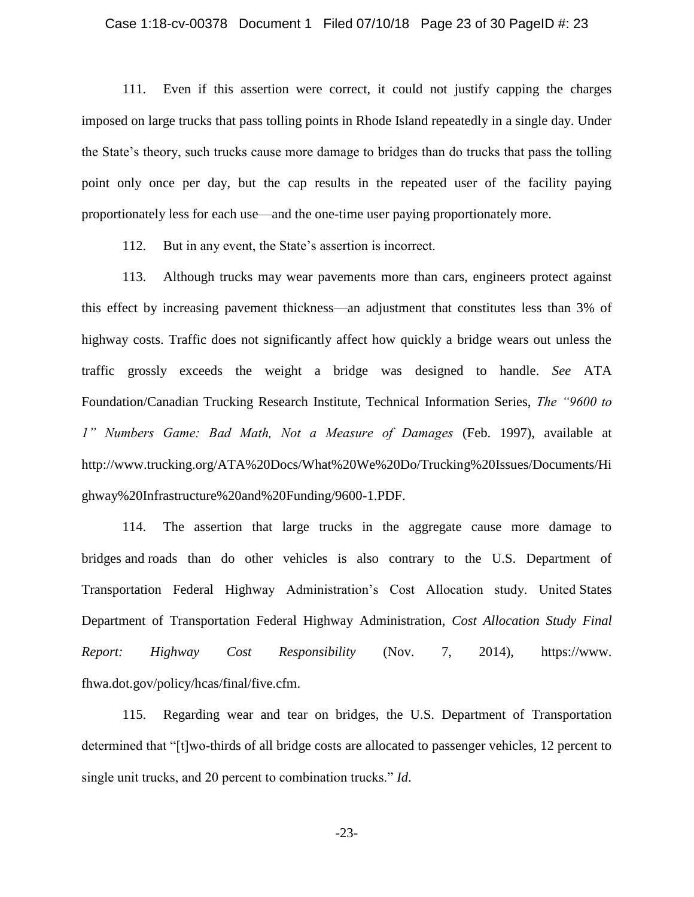## Case 1:18-cv-00378 Document 1 Filed 07/10/18 Page 23 of 30 PageID #: 23

111. Even if this assertion were correct, it could not justify capping the charges imposed on large trucks that pass tolling points in Rhode Island repeatedly in a single day. Under the State's theory, such trucks cause more damage to bridges than do trucks that pass the tolling point only once per day, but the cap results in the repeated user of the facility paying proportionately less for each use—and the one-time user paying proportionately more.

112. But in any event, the State's assertion is incorrect.

113. Although trucks may wear pavements more than cars, engineers protect against this effect by increasing pavement thickness—an adjustment that constitutes less than 3% of highway costs. Traffic does not significantly affect how quickly a bridge wears out unless the traffic grossly exceeds the weight a bridge was designed to handle. *See* ATA Foundation/Canadian Trucking Research Institute, Technical Information Series, *The "9600 to 1" Numbers Game: Bad Math, Not a Measure of Damages* (Feb. 1997), available at http://www.trucking.org/ATA%20Docs/What%20We%20Do/Trucking%20Issues/Documents/Hi ghway%20Infrastructure%20and%20Funding/9600-1.PDF.

114. The assertion that large trucks in the aggregate cause more damage to bridges and roads than do other vehicles is also contrary to the U.S. Department of Transportation Federal Highway Administration's Cost Allocation study. United States Department of Transportation Federal Highway Administration*, Cost Allocation Study Final Report: Highway Cost Responsibility* (Nov. 7, 2014), https://www. fhwa.dot.gov/policy/hcas/final/five.cfm.

115. Regarding wear and tear on bridges, the U.S. Department of Transportation determined that "[t]wo-thirds of all bridge costs are allocated to passenger vehicles, 12 percent to single unit trucks, and 20 percent to combination trucks." *Id*.

-23-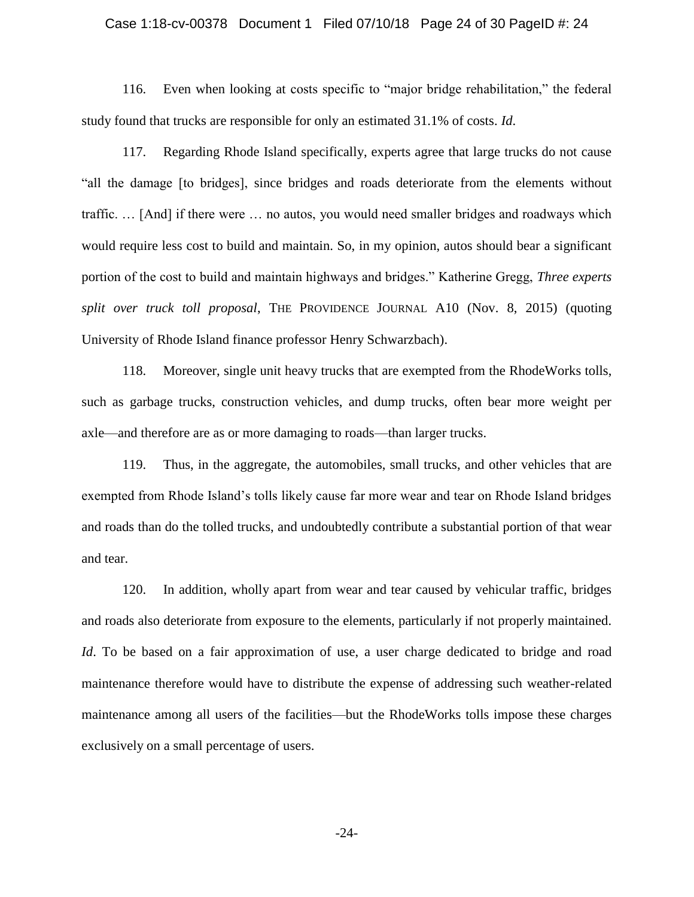# Case 1:18-cv-00378 Document 1 Filed 07/10/18 Page 24 of 30 PageID #: 24

116. Even when looking at costs specific to "major bridge rehabilitation," the federal study found that trucks are responsible for only an estimated 31.1% of costs. *Id*.

117. Regarding Rhode Island specifically, experts agree that large trucks do not cause "all the damage [to bridges], since bridges and roads deteriorate from the elements without traffic. … [And] if there were … no autos, you would need smaller bridges and roadways which would require less cost to build and maintain. So, in my opinion, autos should bear a significant portion of the cost to build and maintain highways and bridges." Katherine Gregg, *Three experts split over truck toll proposal*, THE PROVIDENCE JOURNAL A10 (Nov. 8, 2015) (quoting University of Rhode Island finance professor Henry Schwarzbach).

118. Moreover, single unit heavy trucks that are exempted from the RhodeWorks tolls, such as garbage trucks, construction vehicles, and dump trucks, often bear more weight per axle—and therefore are as or more damaging to roads—than larger trucks.

119. Thus, in the aggregate, the automobiles, small trucks, and other vehicles that are exempted from Rhode Island's tolls likely cause far more wear and tear on Rhode Island bridges and roads than do the tolled trucks, and undoubtedly contribute a substantial portion of that wear and tear.

120. In addition, wholly apart from wear and tear caused by vehicular traffic, bridges and roads also deteriorate from exposure to the elements, particularly if not properly maintained. *Id*. To be based on a fair approximation of use, a user charge dedicated to bridge and road maintenance therefore would have to distribute the expense of addressing such weather-related maintenance among all users of the facilities—but the RhodeWorks tolls impose these charges exclusively on a small percentage of users.

-24-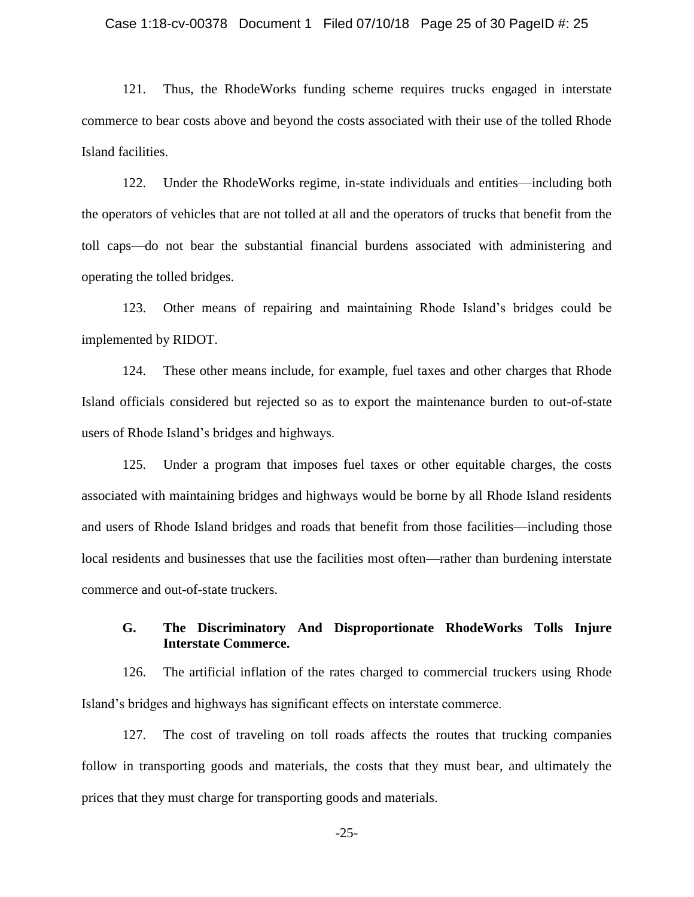## Case 1:18-cv-00378 Document 1 Filed 07/10/18 Page 25 of 30 PageID #: 25

121. Thus, the RhodeWorks funding scheme requires trucks engaged in interstate commerce to bear costs above and beyond the costs associated with their use of the tolled Rhode Island facilities.

122. Under the RhodeWorks regime, in-state individuals and entities—including both the operators of vehicles that are not tolled at all and the operators of trucks that benefit from the toll caps—do not bear the substantial financial burdens associated with administering and operating the tolled bridges.

123. Other means of repairing and maintaining Rhode Island's bridges could be implemented by RIDOT.

124. These other means include, for example, fuel taxes and other charges that Rhode Island officials considered but rejected so as to export the maintenance burden to out-of-state users of Rhode Island's bridges and highways.

125. Under a program that imposes fuel taxes or other equitable charges, the costs associated with maintaining bridges and highways would be borne by all Rhode Island residents and users of Rhode Island bridges and roads that benefit from those facilities—including those local residents and businesses that use the facilities most often—rather than burdening interstate commerce and out-of-state truckers.

# **G. The Discriminatory And Disproportionate RhodeWorks Tolls Injure Interstate Commerce.**

126. The artificial inflation of the rates charged to commercial truckers using Rhode Island's bridges and highways has significant effects on interstate commerce.

127. The cost of traveling on toll roads affects the routes that trucking companies follow in transporting goods and materials, the costs that they must bear, and ultimately the prices that they must charge for transporting goods and materials.

-25-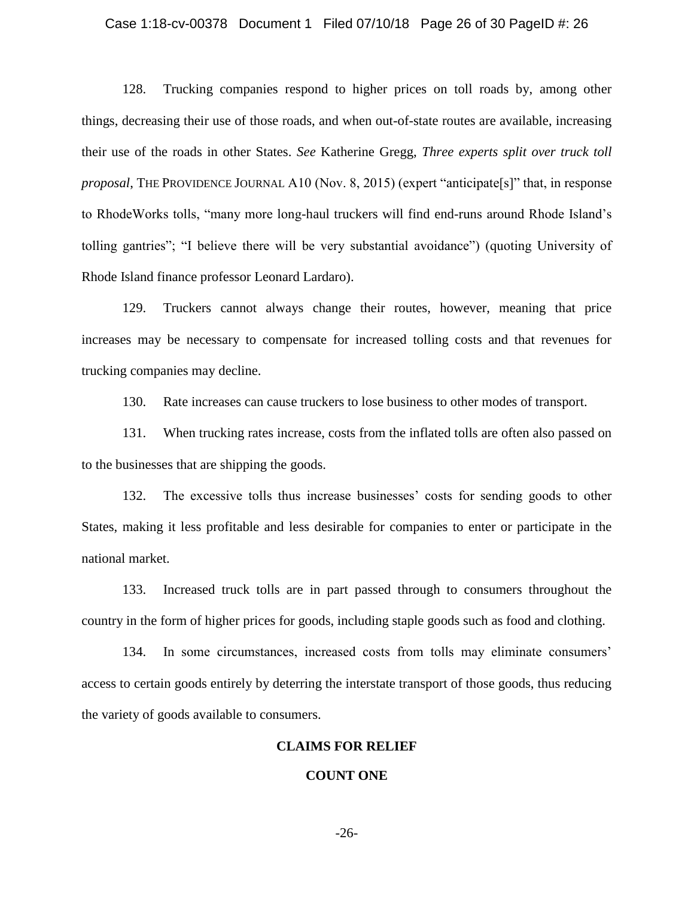## Case 1:18-cv-00378 Document 1 Filed 07/10/18 Page 26 of 30 PageID #: 26

128. Trucking companies respond to higher prices on toll roads by, among other things, decreasing their use of those roads, and when out-of-state routes are available, increasing their use of the roads in other States. *See* Katherine Gregg, *Three experts split over truck toll proposal*, THE PROVIDENCE JOURNAL A10 (Nov. 8, 2015) (expert "anticipate[s]" that, in response to RhodeWorks tolls, "many more long-haul truckers will find end-runs around Rhode Island's tolling gantries"; "I believe there will be very substantial avoidance") (quoting University of Rhode Island finance professor Leonard Lardaro).

129. Truckers cannot always change their routes, however, meaning that price increases may be necessary to compensate for increased tolling costs and that revenues for trucking companies may decline.

130. Rate increases can cause truckers to lose business to other modes of transport.

131. When trucking rates increase, costs from the inflated tolls are often also passed on to the businesses that are shipping the goods.

132. The excessive tolls thus increase businesses' costs for sending goods to other States, making it less profitable and less desirable for companies to enter or participate in the national market.

133. Increased truck tolls are in part passed through to consumers throughout the country in the form of higher prices for goods, including staple goods such as food and clothing.

134. In some circumstances, increased costs from tolls may eliminate consumers' access to certain goods entirely by deterring the interstate transport of those goods, thus reducing the variety of goods available to consumers.

## **CLAIMS FOR RELIEF**

## **COUNT ONE**

-26-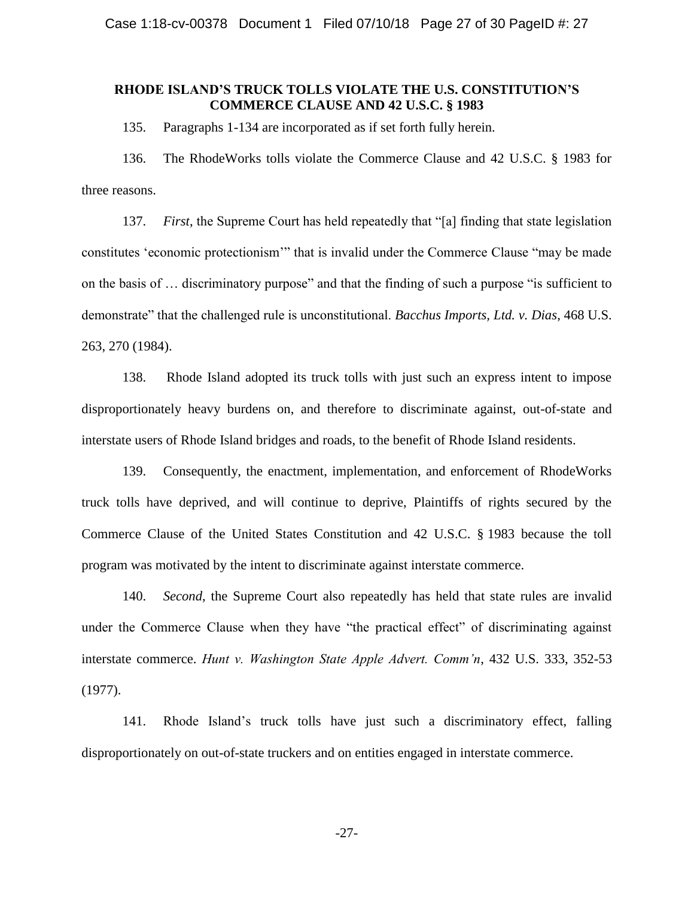# **RHODE ISLAND'S TRUCK TOLLS VIOLATE THE U.S. CONSTITUTION'S COMMERCE CLAUSE AND 42 U.S.C. § 1983**

135. Paragraphs 1-134 are incorporated as if set forth fully herein.

136. The RhodeWorks tolls violate the Commerce Clause and 42 U.S.C. § 1983 for three reasons.

137. *First*, the Supreme Court has held repeatedly that "[a] finding that state legislation constitutes 'economic protectionism'" that is invalid under the Commerce Clause "may be made on the basis of … discriminatory purpose" and that the finding of such a purpose "is sufficient to demonstrate" that the challenged rule is unconstitutional. *Bacchus Imports, Ltd. v. Dias*, 468 U.S. 263, 270 (1984).

138. Rhode Island adopted its truck tolls with just such an express intent to impose disproportionately heavy burdens on, and therefore to discriminate against, out-of-state and interstate users of Rhode Island bridges and roads, to the benefit of Rhode Island residents.

139. Consequently, the enactment, implementation, and enforcement of RhodeWorks truck tolls have deprived, and will continue to deprive, Plaintiffs of rights secured by the Commerce Clause of the United States Constitution and 42 U.S.C. § 1983 because the toll program was motivated by the intent to discriminate against interstate commerce.

140. *Second*, the Supreme Court also repeatedly has held that state rules are invalid under the Commerce Clause when they have "the practical effect" of discriminating against interstate commerce. *Hunt v. Washington State Apple Advert. Comm'n*, 432 U.S. 333, 352-53 (1977).

141. Rhode Island's truck tolls have just such a discriminatory effect, falling disproportionately on out-of-state truckers and on entities engaged in interstate commerce.

-27-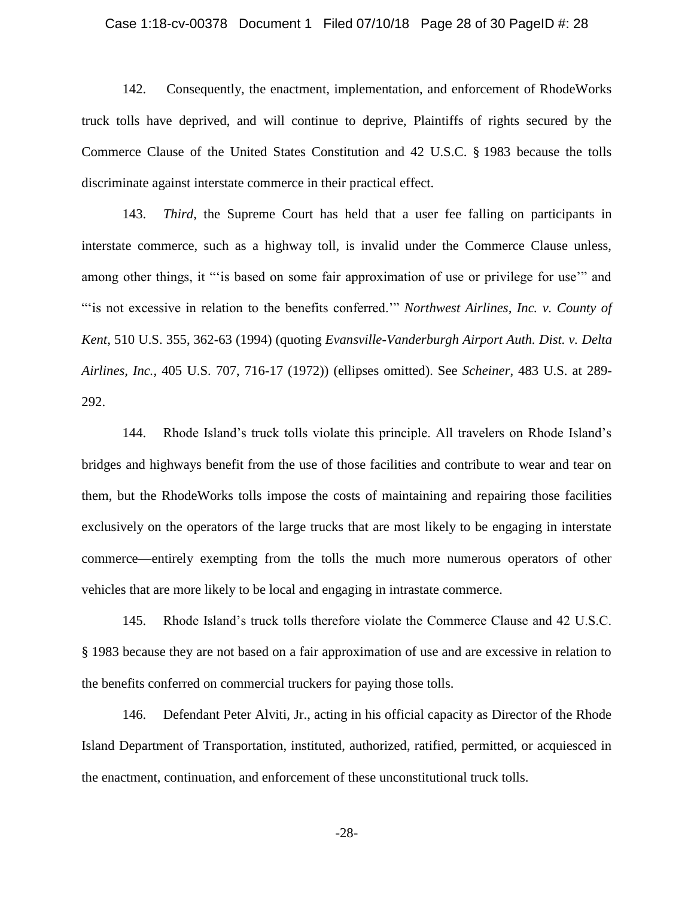#### Case 1:18-cv-00378 Document 1 Filed 07/10/18 Page 28 of 30 PageID #: 28

142. Consequently, the enactment, implementation, and enforcement of RhodeWorks truck tolls have deprived, and will continue to deprive, Plaintiffs of rights secured by the Commerce Clause of the United States Constitution and 42 U.S.C. § 1983 because the tolls discriminate against interstate commerce in their practical effect.

143. *Third*, the Supreme Court has held that a user fee falling on participants in interstate commerce, such as a highway toll, is invalid under the Commerce Clause unless, among other things, it "'is based on some fair approximation of use or privilege for use" and "'is not excessive in relation to the benefits conferred.'" *Northwest Airlines, Inc. v. County of Kent*, 510 U.S. 355, 362-63 (1994) (quoting *Evansville-Vanderburgh Airport Auth. Dist. v. Delta Airlines, Inc.,* 405 U.S. 707, 716-17 (1972)) (ellipses omitted). See *Scheiner*, 483 U.S. at 289- 292.

144. Rhode Island's truck tolls violate this principle. All travelers on Rhode Island's bridges and highways benefit from the use of those facilities and contribute to wear and tear on them, but the RhodeWorks tolls impose the costs of maintaining and repairing those facilities exclusively on the operators of the large trucks that are most likely to be engaging in interstate commerce—entirely exempting from the tolls the much more numerous operators of other vehicles that are more likely to be local and engaging in intrastate commerce.

145. Rhode Island's truck tolls therefore violate the Commerce Clause and 42 U.S.C. § 1983 because they are not based on a fair approximation of use and are excessive in relation to the benefits conferred on commercial truckers for paying those tolls.

146. Defendant Peter Alviti, Jr., acting in his official capacity as Director of the Rhode Island Department of Transportation, instituted, authorized, ratified, permitted, or acquiesced in the enactment, continuation, and enforcement of these unconstitutional truck tolls.

-28-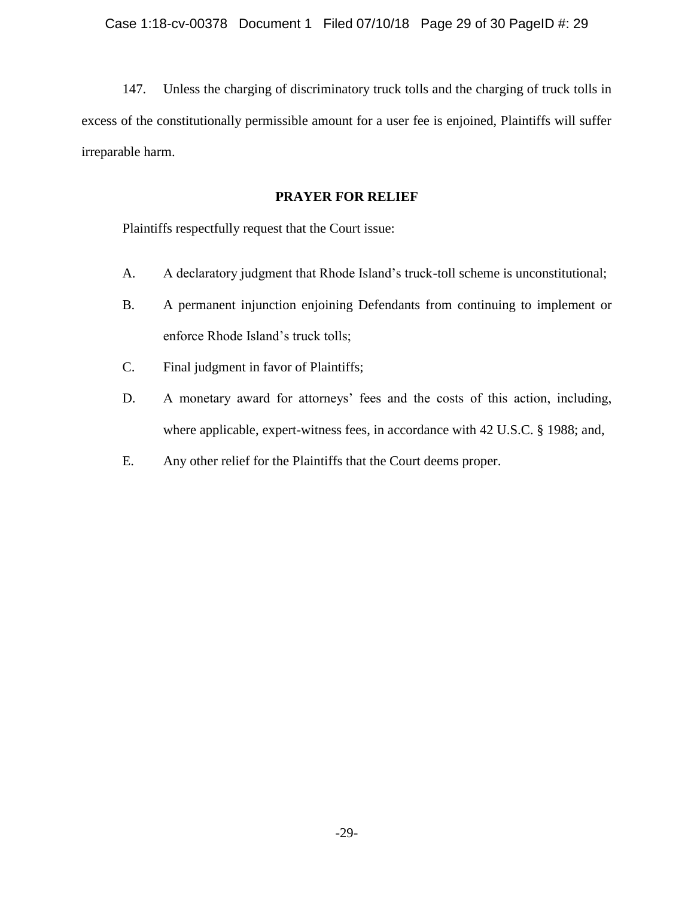147. Unless the charging of discriminatory truck tolls and the charging of truck tolls in excess of the constitutionally permissible amount for a user fee is enjoined, Plaintiffs will suffer irreparable harm.

# **PRAYER FOR RELIEF**

Plaintiffs respectfully request that the Court issue:

- A. A declaratory judgment that Rhode Island's truck-toll scheme is unconstitutional;
- B. A permanent injunction enjoining Defendants from continuing to implement or enforce Rhode Island's truck tolls;
- C. Final judgment in favor of Plaintiffs;
- D. A monetary award for attorneys' fees and the costs of this action, including, where applicable, expert-witness fees, in accordance with 42 U.S.C. § 1988; and,
- E. Any other relief for the Plaintiffs that the Court deems proper.